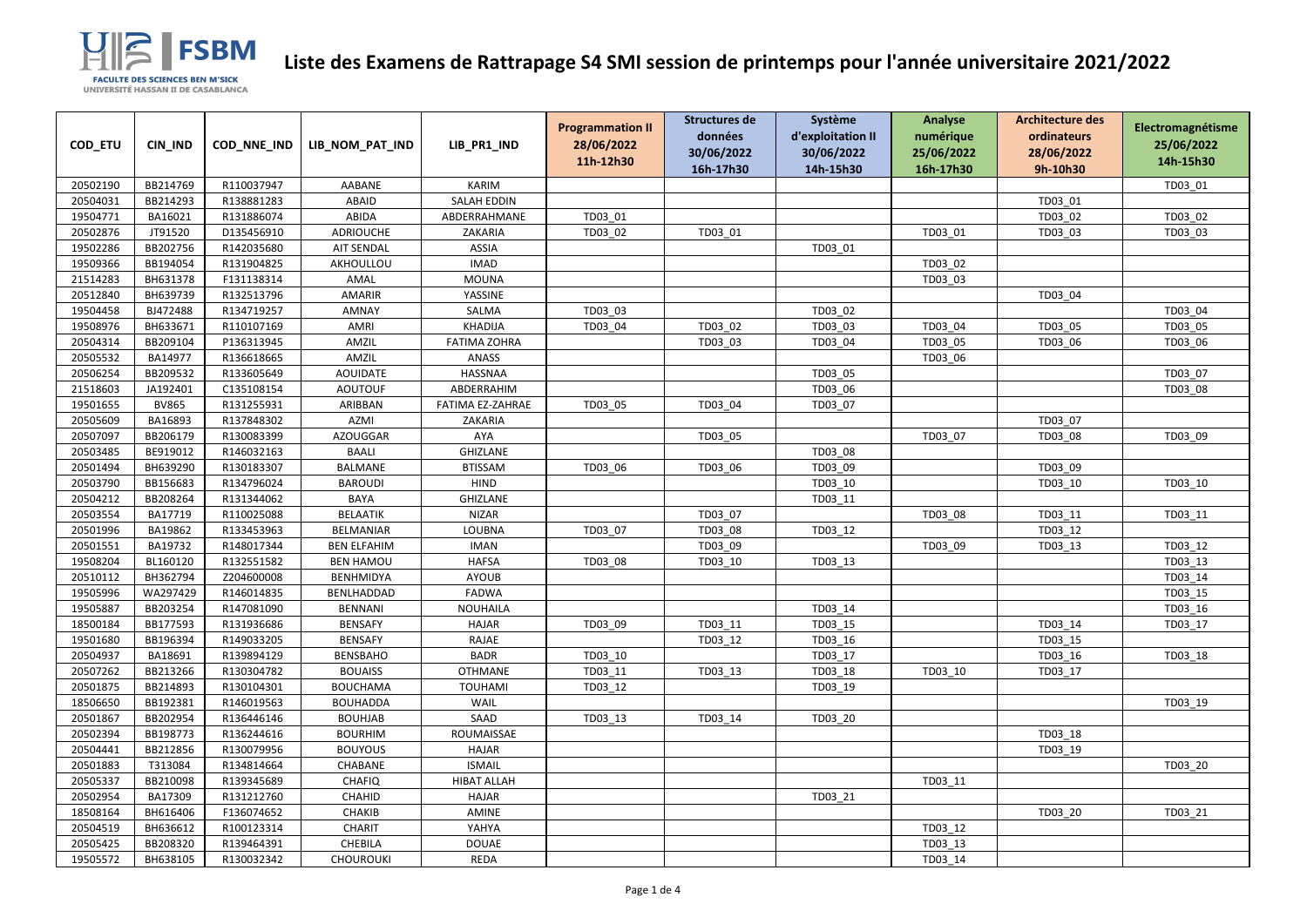| COD_ETU  | CIN_IND      | COD_NNE_IND | LIB_NOM_PAT_IND    | LIB_PR1_IND         | <b>Programmation II</b><br>28/06/2022<br>11h-12h30 | <b>Structures de</b><br>données<br>30/06/2022<br>16h-17h30 | Système<br>d'exploitation II<br>30/06/2022<br>14h-15h30 | Analyse<br>numérique<br>25/06/2022<br>16h-17h30 | <b>Architecture des</b><br>ordinateurs<br>28/06/2022<br>9h-10h30 | Electromagnétisme<br>25/06/2022<br>14h-15h30 |
|----------|--------------|-------------|--------------------|---------------------|----------------------------------------------------|------------------------------------------------------------|---------------------------------------------------------|-------------------------------------------------|------------------------------------------------------------------|----------------------------------------------|
| 20502190 | BB214769     | R110037947  | AABANE             | <b>KARIM</b>        |                                                    |                                                            |                                                         |                                                 |                                                                  | TD03_01                                      |
| 20504031 | BB214293     | R138881283  | ABAID              | <b>SALAH EDDIN</b>  |                                                    |                                                            |                                                         |                                                 | TD03_01                                                          |                                              |
| 19504771 | BA16021      | R131886074  | ABIDA              | ABDERRAHMANE        | TD03 01                                            |                                                            |                                                         |                                                 | TD03_02                                                          | TD03 02                                      |
| 20502876 | JT91520      | D135456910  | <b>ADRIOUCHE</b>   | ZAKARIA             | TD03 02                                            | TD03 01                                                    |                                                         | TD03 01                                         | TD03_03                                                          | TD03 03                                      |
| 19502286 | BB202756     | R142035680  | <b>AIT SENDAL</b>  | <b>ASSIA</b>        |                                                    |                                                            | TD03_01                                                 |                                                 |                                                                  |                                              |
| 19509366 | BB194054     | R131904825  | AKHOULLOU          | <b>IMAD</b>         |                                                    |                                                            |                                                         | TD03_02                                         |                                                                  |                                              |
| 21514283 | BH631378     | F131138314  | AMAL               | <b>MOUNA</b>        |                                                    |                                                            |                                                         | TD03_03                                         |                                                                  |                                              |
| 20512840 | BH639739     | R132513796  | AMARIR             | YASSINE             |                                                    |                                                            |                                                         |                                                 | TD03_04                                                          |                                              |
| 19504458 | BJ472488     | R134719257  | AMNAY              | SALMA               | TD03 03                                            |                                                            | TD03 02                                                 |                                                 |                                                                  | TD03 04                                      |
| 19508976 | BH633671     | R110107169  | <b>AMRI</b>        | <b>KHADIJA</b>      | TD03_04                                            | TD03_02                                                    | TD03_03                                                 | TD03_04                                         | TD03_05                                                          | TD03_05                                      |
| 20504314 | BB209104     | P136313945  | AMZIL              | <b>FATIMA ZOHRA</b> |                                                    | TD03 03                                                    | TD03 04                                                 | TD03 05                                         | TD03 06                                                          | TD03 06                                      |
| 20505532 | BA14977      | R136618665  | AMZIL              | <b>ANASS</b>        |                                                    |                                                            |                                                         | TD03_06                                         |                                                                  |                                              |
| 20506254 | BB209532     | R133605649  | <b>AOUIDATE</b>    | HASSNAA             |                                                    |                                                            | TD03 05                                                 |                                                 |                                                                  | TD03 07                                      |
| 21518603 | JA192401     | C135108154  | <b>AOUTOUF</b>     | ABDERRAHIM          |                                                    |                                                            | TD03 06                                                 |                                                 |                                                                  | TD03 08                                      |
| 19501655 | <b>BV865</b> | R131255931  | ARIBBAN            | FATIMA EZ-ZAHRAE    | TD03 05                                            | TD03_04                                                    | TD03 07                                                 |                                                 |                                                                  |                                              |
| 20505609 | BA16893      | R137848302  | <b>AZMI</b>        | ZAKARIA             |                                                    |                                                            |                                                         |                                                 | TD03 07                                                          |                                              |
| 20507097 | BB206179     | R130083399  | <b>AZOUGGAR</b>    | AYA                 |                                                    | TD03_05                                                    |                                                         | TD03 07                                         | TD03_08                                                          | TD03_09                                      |
| 20503485 | BE919012     | R146032163  | <b>BAALI</b>       | <b>GHIZLANE</b>     |                                                    |                                                            | TD03_08                                                 |                                                 |                                                                  |                                              |
| 20501494 | BH639290     | R130183307  | BALMANE            | <b>BTISSAM</b>      | TD03 06                                            | TD03 06                                                    | TD03 09                                                 |                                                 | TD03 09                                                          |                                              |
| 20503790 | BB156683     | R134796024  | <b>BAROUDI</b>     | <b>HIND</b>         |                                                    |                                                            | TD03_10                                                 |                                                 | TD03_10                                                          | TD03_10                                      |
| 20504212 | BB208264     | R131344062  | <b>BAYA</b>        | <b>GHIZLANE</b>     |                                                    |                                                            | TD03_11                                                 |                                                 |                                                                  |                                              |
| 20503554 | BA17719      | R110025088  | <b>BELAATIK</b>    | <b>NIZAR</b>        |                                                    | TD03 07                                                    |                                                         | TD03 08                                         | TD03 11                                                          | TD03 11                                      |
| 20501996 | BA19862      | R133453963  | <b>BELMANIAR</b>   | <b>LOUBNA</b>       | TD03 07                                            | TD03 08                                                    | TD03_12                                                 |                                                 | TD03_12                                                          |                                              |
| 20501551 | BA19732      | R148017344  | <b>BEN ELFAHIM</b> | <b>IMAN</b>         |                                                    | TD03_09                                                    |                                                         | TD03_09                                         | TD03_13                                                          | TD03 12                                      |
| 19508204 | BL160120     | R132551582  | <b>BEN HAMOU</b>   | <b>HAFSA</b>        | TD03 08                                            | TD03 10                                                    | TD03_13                                                 |                                                 |                                                                  | TD03_13                                      |
| 20510112 | BH362794     | Z204600008  | <b>BENHMIDYA</b>   | <b>AYOUB</b>        |                                                    |                                                            |                                                         |                                                 |                                                                  | TD03_14                                      |
| 19505996 | WA297429     | R146014835  | BENLHADDAD         | <b>FADWA</b>        |                                                    |                                                            |                                                         |                                                 |                                                                  | TD03_15                                      |
| 19505887 | BB203254     | R147081090  | <b>BENNANI</b>     | <b>NOUHAILA</b>     |                                                    |                                                            | TD03 14                                                 |                                                 |                                                                  | TD03 16                                      |
| 18500184 | BB177593     | R131936686  | <b>BENSAFY</b>     | <b>HAJAR</b>        | TD03 09                                            | TD03 11                                                    | TD03 15                                                 |                                                 | TD03 14                                                          | TD03 17                                      |
| 19501680 | BB196394     | R149033205  | <b>BENSAFY</b>     | RAJAE               |                                                    | TD03 12                                                    | TD03 16                                                 |                                                 | TD03_15                                                          |                                              |
| 20504937 | BA18691      | R139894129  | <b>BENSBAHO</b>    | <b>BADR</b>         | TD03 10                                            |                                                            | TD03 17                                                 |                                                 | TD03_16                                                          | TD03 18                                      |
| 20507262 | BB213266     | R130304782  | <b>BOUAISS</b>     | <b>OTHMANE</b>      | TD03 11                                            | TD03_13                                                    | TD03_18                                                 | TD03_10                                         | TD03_17                                                          |                                              |
| 20501875 | BB214893     | R130104301  | <b>BOUCHAMA</b>    | <b>TOUHAMI</b>      | TD03 12                                            |                                                            | TD03 19                                                 |                                                 |                                                                  |                                              |
| 18506650 | BB192381     | R146019563  | <b>BOUHADDA</b>    | <b>WAIL</b>         |                                                    |                                                            |                                                         |                                                 |                                                                  | TD03 19                                      |
| 20501867 | BB202954     | R136446146  | <b>BOUHJAB</b>     | SAAD                | TD03_13                                            | TD03 14                                                    | TD03 20                                                 |                                                 |                                                                  |                                              |
| 20502394 | BB198773     | R136244616  | <b>BOURHIM</b>     | ROUMAISSAE          |                                                    |                                                            |                                                         |                                                 | TD03_18                                                          |                                              |
| 20504441 | BB212856     | R130079956  | <b>BOUYOUS</b>     | <b>HAJAR</b>        |                                                    |                                                            |                                                         |                                                 | TD03 19                                                          |                                              |
| 20501883 | T313084      | R134814664  | CHABANE            | <b>ISMAIL</b>       |                                                    |                                                            |                                                         |                                                 |                                                                  | TD03 20                                      |
| 20505337 | BB210098     | R139345689  | <b>CHAFIQ</b>      | <b>HIBAT ALLAH</b>  |                                                    |                                                            |                                                         | TD03 11                                         |                                                                  |                                              |
| 20502954 | BA17309      | R131212760  | CHAHID             | <b>HAJAR</b>        |                                                    |                                                            | TD03 21                                                 |                                                 |                                                                  |                                              |
| 18508164 | BH616406     | F136074652  | <b>CHAKIB</b>      | AMINE               |                                                    |                                                            |                                                         |                                                 | TD03_20                                                          | TD03_21                                      |
| 20504519 | BH636612     | R100123314  | CHARIT             | YAHYA               |                                                    |                                                            |                                                         | TD03 12                                         |                                                                  |                                              |
| 20505425 | BB208320     | R139464391  | <b>CHEBILA</b>     | <b>DOUAE</b>        |                                                    |                                                            |                                                         | TD03 13                                         |                                                                  |                                              |
| 19505572 | BH638105     | R130032342  | <b>CHOUROUKI</b>   | REDA                |                                                    |                                                            |                                                         | TD03_14                                         |                                                                  |                                              |

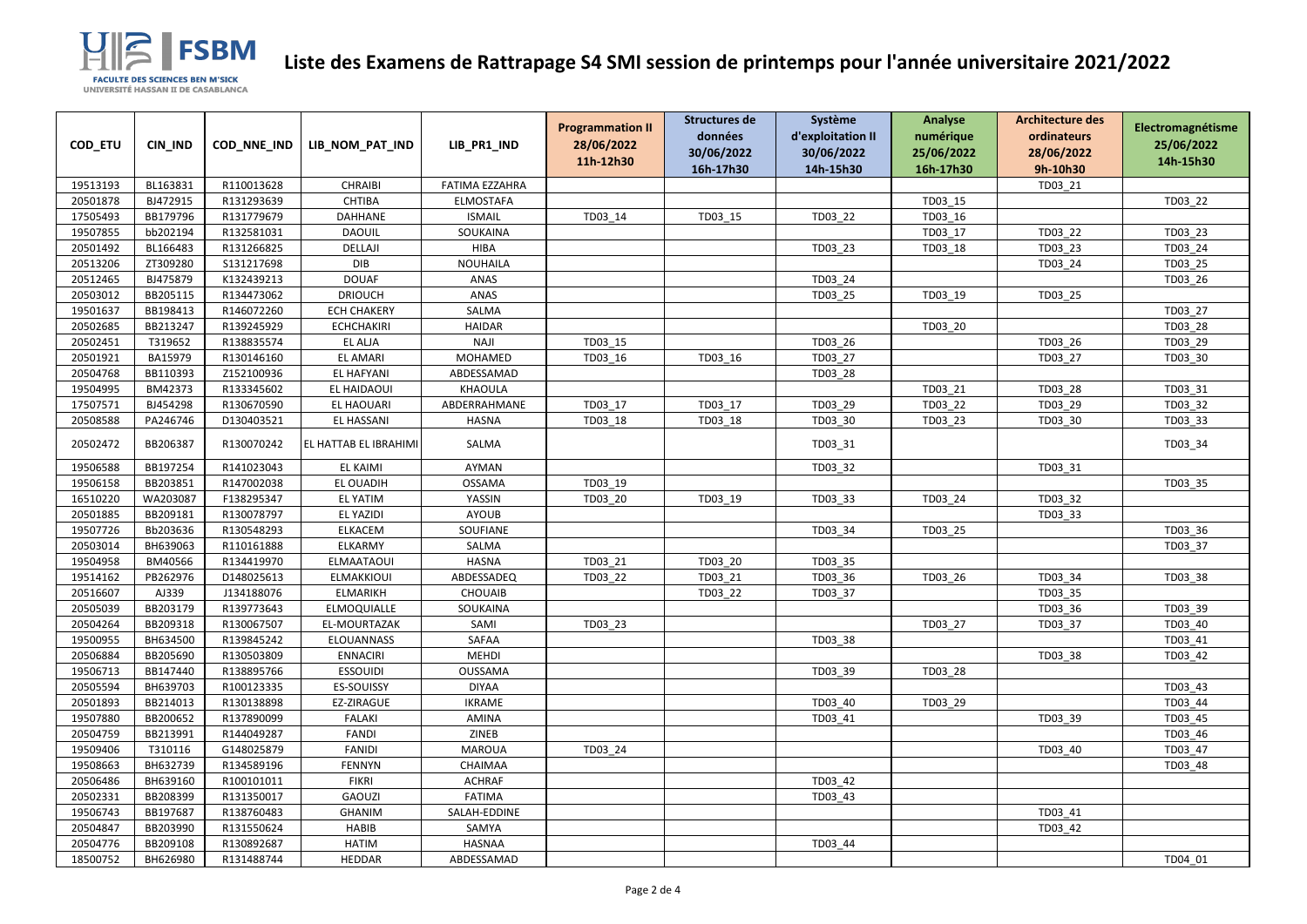

| COD_ETU  | CIN_IND  | COD_NNE_IND | LIB_NOM_PAT_IND       | LIB_PR1_IND           | <b>Programmation II</b><br>28/06/2022 | Structures de<br>données | Système<br>d'exploitation II | <b>Analyse</b><br>numérique | <b>Architecture des</b><br>ordinateurs | Electromagnétisme<br>25/06/2022 |
|----------|----------|-------------|-----------------------|-----------------------|---------------------------------------|--------------------------|------------------------------|-----------------------------|----------------------------------------|---------------------------------|
|          |          |             |                       |                       | 11h-12h30                             | 30/06/2022               | 30/06/2022                   | 25/06/2022                  | 28/06/2022                             | 14h-15h30                       |
|          |          |             |                       |                       |                                       | 16h-17h30                | 14h-15h30                    | 16h-17h30                   | 9h-10h30                               |                                 |
| 19513193 | BL163831 | R110013628  | <b>CHRAIBI</b>        | <b>FATIMA EZZAHRA</b> |                                       |                          |                              |                             | TD03_21                                |                                 |
| 20501878 | BJ472915 | R131293639  | CHTIBA                | ELMOSTAFA             |                                       |                          |                              | TD03_15                     |                                        | TD03_22                         |
| 17505493 | BB179796 | R131779679  | DAHHANE               | <b>ISMAIL</b>         | TD03_14                               | TD03_15                  | TD03_22                      | TD03_16                     |                                        |                                 |
| 19507855 | bb202194 | R132581031  | <b>DAOUIL</b>         | SOUKAINA              |                                       |                          |                              | TD03 17                     | TD03 22                                | TD03 23                         |
| 20501492 | BL166483 | R131266825  | DELLAJI               | <b>HIBA</b>           |                                       |                          | TD03_23                      | TD03_18                     | TD03_23                                | TD03_24                         |
| 20513206 | ZT309280 | S131217698  | DIB                   | <b>NOUHAILA</b>       |                                       |                          |                              |                             | TD03_24                                | TD03 25                         |
| 20512465 | BJ475879 | K132439213  | <b>DOUAF</b>          | ANAS                  |                                       |                          | TD03_24                      |                             |                                        | TD03_26                         |
| 20503012 | BB205115 | R134473062  | <b>DRIOUCH</b>        | ANAS                  |                                       |                          | TD03_25                      | TD03_19                     | TD03_25                                |                                 |
| 19501637 | BB198413 | R146072260  | <b>ECH CHAKERY</b>    | SALMA                 |                                       |                          |                              |                             |                                        | TD03 27                         |
| 20502685 | BB213247 | R139245929  | <b>ECHCHAKIRI</b>     | <b>HAIDAR</b>         |                                       |                          |                              | TD03_20                     |                                        | TD03_28                         |
| 20502451 | T319652  | R138835574  | EL ALJA               | <b>NAJI</b>           | TD03 15                               |                          | TD03_26                      |                             | TD03_26                                | TD03_29                         |
| 20501921 | BA15979  | R130146160  | <b>EL AMARI</b>       | MOHAMED               | TD03_16                               | TD03_16                  | TD03 27                      |                             | TD03 27                                | TD03 30                         |
| 20504768 | BB110393 | Z152100936  | <b>EL HAFYANI</b>     | ABDESSAMAD            |                                       |                          | TD03_28                      |                             |                                        |                                 |
| 19504995 | BM42373  | R133345602  | EL HAIDAOUI           | KHAOULA               |                                       |                          |                              | TD03_21                     | TD03_28                                | TD03 31                         |
| 17507571 | BJ454298 | R130670590  | EL HAOUARI            | ABDERRAHMANE          | TD03 17                               | TD03 17                  | TD03_29                      | TD03 22                     | TD03_29                                | TD03 32                         |
| 20508588 | PA246746 | D130403521  | EL HASSANI            | <b>HASNA</b>          | TD03_18                               | TD03_18                  | TD03_30                      | TD03_23                     | TD03_30                                | TD03_33                         |
| 20502472 | BB206387 | R130070242  | EL HATTAB EL IBRAHIMI | SALMA                 |                                       |                          | TD03_31                      |                             |                                        | TD03_34                         |
| 19506588 | BB197254 | R141023043  | EL KAIMI              | AYMAN                 |                                       |                          | TD03_32                      |                             | TD03_31                                |                                 |
| 19506158 | BB203851 | R147002038  | EL OUADIH             | <b>OSSAMA</b>         | TD03_19                               |                          |                              |                             |                                        | TD03_35                         |
| 16510220 | WA203087 | F138295347  | <b>EL YATIM</b>       | YASSIN                | TD03 20                               | TD03_19                  | TD03_33                      | TD03_24                     | TD03_32                                |                                 |
| 20501885 | BB209181 | R130078797  | EL YAZIDI             | <b>AYOUB</b>          |                                       |                          |                              |                             | TD03_33                                |                                 |
| 19507726 | Bb203636 | R130548293  | <b>ELKACEM</b>        | SOUFIANE              |                                       |                          | TD03_34                      | TD03_25                     |                                        | TD03_36                         |
| 20503014 | BH639063 | R110161888  | ELKARMY               | SALMA                 |                                       |                          |                              |                             |                                        | TD03 37                         |
| 19504958 | BM40566  | R134419970  | <b>ELMAATAOUI</b>     | <b>HASNA</b>          | TD03 21                               | TD03 20                  | TD03 35                      |                             |                                        |                                 |
| 19514162 | PB262976 | D148025613  | ELMAKKIOUI            | ABDESSADEQ            | TD03_22                               | TD03_21                  | TD03_36                      | TD03_26                     | TD03_34                                | TD03_38                         |
| 20516607 | AJ339    | J134188076  | ELMARIKH              | <b>CHOUAIB</b>        |                                       | TD03 22                  | TD03_37                      |                             | TD03_35                                |                                 |
| 20505039 | BB203179 | R139773643  | ELMOQUIALLE           | SOUKAINA              |                                       |                          |                              |                             | TD03 36                                | TD03 39                         |
| 20504264 | BB209318 | R130067507  | EL-MOURTAZAK          | SAMI                  | TD03_23                               |                          |                              | TD03 27                     | TD03_37                                | TD03_40                         |
| 19500955 | BH634500 | R139845242  | ELOUANNASS            | SAFAA                 |                                       |                          | TD03_38                      |                             |                                        | TD03 41                         |
| 20506884 | BB205690 | R130503809  | <b>ENNACIRI</b>       | <b>MEHDI</b>          |                                       |                          |                              |                             | TD03 38                                | TD03_42                         |
| 19506713 | BB147440 | R138895766  | <b>ESSOUIDI</b>       | <b>OUSSAMA</b>        |                                       |                          | TD03_39                      | TD03 28                     |                                        |                                 |
| 20505594 | BH639703 | R100123335  | ES-SOUISSY            | <b>DIYAA</b>          |                                       |                          |                              |                             |                                        | TD03 43                         |
| 20501893 | BB214013 | R130138898  | EZ-ZIRAGUE            | <b>IKRAME</b>         |                                       |                          | TD03 40                      | TD03_29                     |                                        | TD03_44                         |
| 19507880 | BB200652 | R137890099  | <b>FALAKI</b>         | AMINA                 |                                       |                          | TD03 41                      |                             | TD03 39                                | TD03 45                         |
| 20504759 | BB213991 | R144049287  | <b>FANDI</b>          | ZINEB                 |                                       |                          |                              |                             |                                        | TD03 46                         |
| 19509406 | T310116  | G148025879  | <b>FANIDI</b>         | <b>MAROUA</b>         | TD03 24                               |                          |                              |                             | TD03 40                                | TD03 47                         |
| 19508663 | BH632739 | R134589196  | <b>FENNYN</b>         | CHAIMAA               |                                       |                          |                              |                             |                                        | TD03 48                         |
| 20506486 | BH639160 | R100101011  | <b>FIKRI</b>          | <b>ACHRAF</b>         |                                       |                          | TD03 42                      |                             |                                        |                                 |
| 20502331 | BB208399 | R131350017  | <b>GAOUZI</b>         | <b>FATIMA</b>         |                                       |                          | TD03 43                      |                             |                                        |                                 |
| 19506743 | BB197687 | R138760483  | <b>GHANIM</b>         | SALAH-EDDINE          |                                       |                          |                              |                             | TD03_41                                |                                 |
| 20504847 | BB203990 | R131550624  | <b>HABIB</b>          | SAMYA                 |                                       |                          |                              |                             | TD03_42                                |                                 |
| 20504776 | BB209108 | R130892687  | <b>HATIM</b>          | HASNAA                |                                       |                          | TD03 44                      |                             |                                        |                                 |
| 18500752 | BH626980 | R131488744  | HEDDAR                | ABDESSAMAD            |                                       |                          |                              |                             |                                        | TD04 01                         |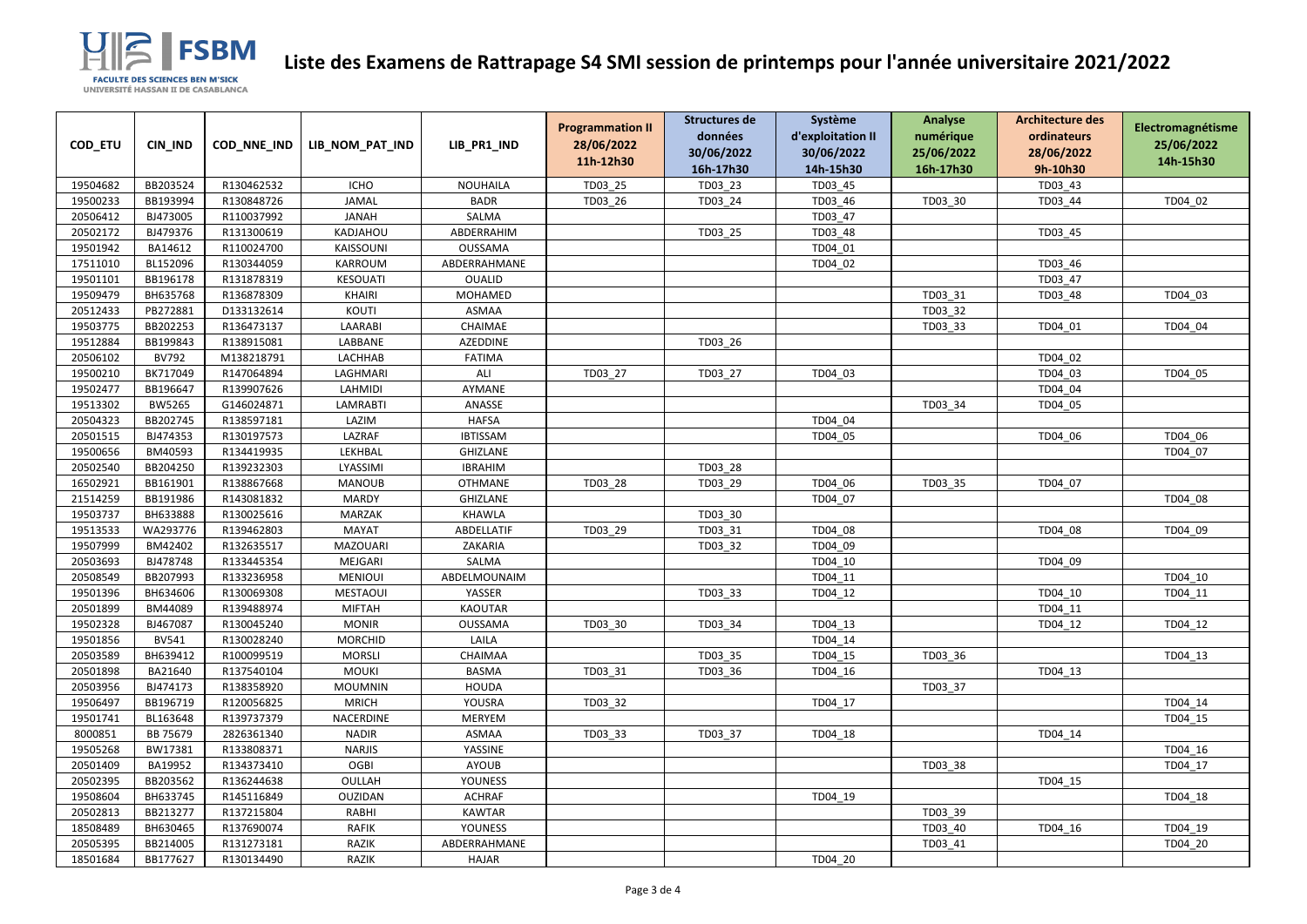

|          |               |             |                  |                 | <b>Programmation II</b> | Structures de | Système           | <b>Analyse</b> | <b>Architecture des</b> | Electromagnétisme |
|----------|---------------|-------------|------------------|-----------------|-------------------------|---------------|-------------------|----------------|-------------------------|-------------------|
| COD_ETU  | CIN_IND       | COD_NNE_IND | LIB_NOM_PAT_IND  | LIB_PR1_IND     | 28/06/2022              | données       | d'exploitation II | numérique      | ordinateurs             | 25/06/2022        |
|          |               |             |                  |                 | 11h-12h30               | 30/06/2022    | 30/06/2022        | 25/06/2022     | 28/06/2022              | 14h-15h30         |
|          |               |             |                  |                 |                         | 16h-17h30     | 14h-15h30         | 16h-17h30      | 9h-10h30                |                   |
| 19504682 | BB203524      | R130462532  | <b>ICHO</b>      | NOUHAILA        | TD03_25                 | TD03_23       | TD03_45           |                | TD03_43                 |                   |
| 19500233 | BB193994      | R130848726  | <b>JAMAL</b>     | <b>BADR</b>     | TD03_26                 | TD03_24       | TD03_46           | TD03_30        | TD03_44                 | TD04 02           |
| 20506412 | BJ473005      | R110037992  | <b>JANAH</b>     | SALMA           |                         |               | TD03 47           |                |                         |                   |
| 20502172 | BJ479376      | R131300619  | KADJAHOU         | ABDERRAHIM      |                         | TD03 25       | TD03 48           |                | TD03_45                 |                   |
| 19501942 | BA14612       | R110024700  | <b>KAISSOUNI</b> | <b>OUSSAMA</b>  |                         |               | TD04 01           |                |                         |                   |
| 17511010 | BL152096      | R130344059  | KARROUM          | ABDERRAHMANE    |                         |               | TD04 02           |                | TD03 46                 |                   |
| 19501101 | BB196178      | R131878319  | <b>KESOUATI</b>  | <b>OUALID</b>   |                         |               |                   |                | TD03_47                 |                   |
| 19509479 | BH635768      | R136878309  | <b>KHAIRI</b>    | MOHAMED         |                         |               |                   | TD03 31        | TD03_48                 | TD04 03           |
| 20512433 | PB272881      | D133132614  | KOUTI            | <b>ASMAA</b>    |                         |               |                   | TD03 32        |                         |                   |
| 19503775 | BB202253      | R136473137  | LAARABI          | CHAIMAE         |                         |               |                   | TD03_33        | TD04_01                 | TD04_04           |
| 19512884 | BB199843      | R138915081  | LABBANE          | <b>AZEDDINE</b> |                         | TD03_26       |                   |                |                         |                   |
| 20506102 | <b>BV792</b>  | M138218791  | LACHHAB          | <b>FATIMA</b>   |                         |               |                   |                | TD04 02                 |                   |
| 19500210 | BK717049      | R147064894  | LAGHMARI         | ALI             | TD03_27                 | TD03_27       | TD04_03           |                | TD04_03                 | TD04_05           |
| 19502477 | BB196647      | R139907626  | <b>LAHMIDI</b>   | AYMANE          |                         |               |                   |                | TD04 04                 |                   |
| 19513302 | <b>BW5265</b> | G146024871  | <b>LAMRABTI</b>  | ANASSE          |                         |               |                   | TD03_34        | TD04_05                 |                   |
| 20504323 | BB202745      | R138597181  | LAZIM            | <b>HAFSA</b>    |                         |               | TD04 04           |                |                         |                   |
| 20501515 | BJ474353      | R130197573  | LAZRAF           | <b>IBTISSAM</b> |                         |               | TD04 05           |                | TD04_06                 | TD04 06           |
| 19500656 | BM40593       | R134419935  | LEKHBAL          | <b>GHIZLANE</b> |                         |               |                   |                |                         | TD04 07           |
| 20502540 | BB204250      | R139232303  | LYASSIMI         | <b>IBRAHIM</b>  |                         | TD03 28       |                   |                |                         |                   |
| 16502921 | BB161901      | R138867668  | <b>MANOUB</b>    | <b>OTHMANE</b>  | TD03 28                 | TD03 29       | TD04 06           | TD03 35        | TD04 07                 |                   |
| 21514259 | BB191986      | R143081832  | <b>MARDY</b>     | <b>GHIZLANE</b> |                         |               | TD04_07           |                |                         | TD04_08           |
| 19503737 | BH633888      | R130025616  | MARZAK           | <b>KHAWLA</b>   |                         | TD03 30       |                   |                |                         |                   |
| 19513533 | WA293776      | R139462803  | <b>MAYAT</b>     | ABDELLATIF      | TD03 29                 | TD03 31       | TD04 08           |                | TD04_08                 | TD04 09           |
| 19507999 | BM42402       | R132635517  | MAZOUARI         | ZAKARIA         |                         | TD03_32       | TD04 09           |                |                         |                   |
| 20503693 | BJ478748      | R133445354  | MEJGARI          | SALMA           |                         |               | TD04 10           |                | TD04 09                 |                   |
| 20508549 | BB207993      | R133236958  | <b>MENIOUI</b>   | ABDELMOUNAIM    |                         |               | TD04_11           |                |                         | TD04 10           |
| 19501396 | BH634606      | R130069308  | <b>MESTAOUI</b>  | YASSER          |                         | TD03_33       | TD04_12           |                | TD04 10                 | TD04 11           |
| 20501899 | BM44089       | R139488974  | <b>MIFTAH</b>    | <b>KAOUTAR</b>  |                         |               |                   |                | TD04 11                 |                   |
| 19502328 | BJ467087      | R130045240  | <b>MONIR</b>     | OUSSAMA         | TD03 30                 | TD03 34       | TD04 13           |                | TD04_12                 | TD04 12           |
| 19501856 | <b>BV541</b>  | R130028240  | <b>MORCHID</b>   | LAILA           |                         |               | TD04 14           |                |                         |                   |
| 20503589 | BH639412      | R100099519  | <b>MORSLI</b>    | CHAIMAA         |                         | TD03 35       | TD04 15           | TD03 36        |                         | TD04 13           |
| 20501898 | BA21640       | R137540104  | <b>MOUKI</b>     | <b>BASMA</b>    | TD03_31                 | TD03 36       | TD04_16           |                | TD04_13                 |                   |
| 20503956 | BJ474173      | R138358920  | <b>MOUMNIN</b>   | <b>HOUDA</b>    |                         |               |                   | TD03 37        |                         |                   |
| 19506497 | BB196719      | R120056825  | <b>MRICH</b>     | YOUSRA          | TD03_32                 |               | TD04 17           |                |                         | TD04 14           |
| 19501741 | BL163648      | R139737379  | NACERDINE        | <b>MERYEM</b>   |                         |               |                   |                |                         | TD04 15           |
| 8000851  | BB 75679      | 2826361340  | <b>NADIR</b>     | <b>ASMAA</b>    | TD03_33                 | TD03_37       | TD04_18           |                | TD04_14                 |                   |
| 19505268 | BW17381       | R133808371  | <b>NARJIS</b>    | YASSINE         |                         |               |                   |                |                         | TD04 16           |
| 20501409 | BA19952       | R134373410  | <b>OGBI</b>      | <b>AYOUB</b>    |                         |               |                   | TD03 38        |                         | TD04 17           |
| 20502395 | BB203562      | R136244638  | OULLAH           | <b>YOUNESS</b>  |                         |               |                   |                | TD04_15                 |                   |
| 19508604 | BH633745      | R145116849  | OUZIDAN          | <b>ACHRAF</b>   |                         |               | TD04 19           |                |                         | TD04 18           |
| 20502813 | BB213277      | R137215804  | RABHI            | KAWTAR          |                         |               |                   | TD03 39        |                         |                   |
| 18508489 | BH630465      | R137690074  | <b>RAFIK</b>     | <b>YOUNESS</b>  |                         |               |                   | TD03 40        | TD04_16                 | TD04 19           |
| 20505395 | BB214005      | R131273181  | RAZIK            | ABDERRAHMANE    |                         |               |                   | TD03 41        |                         | TD04 20           |
| 18501684 | BB177627      | R130134490  | RAZIK            | HAJAR           |                         |               | TD04_20           |                |                         |                   |